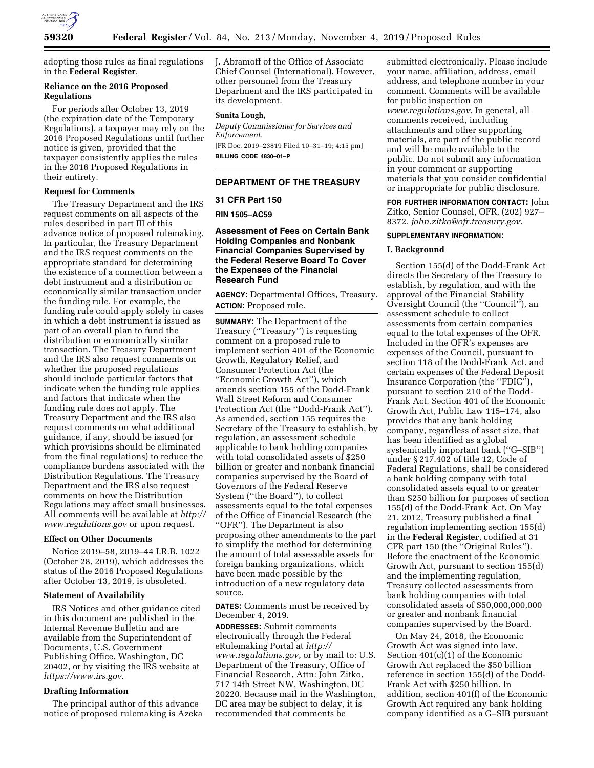

adopting those rules as final regulations in the **Federal Register**.

# **Reliance on the 2016 Proposed Regulations**

For periods after October 13, 2019 (the expiration date of the Temporary Regulations), a taxpayer may rely on the 2016 Proposed Regulations until further notice is given, provided that the taxpayer consistently applies the rules in the 2016 Proposed Regulations in their entirety.

### **Request for Comments**

The Treasury Department and the IRS request comments on all aspects of the rules described in part III of this advance notice of proposed rulemaking. In particular, the Treasury Department and the IRS request comments on the appropriate standard for determining the existence of a connection between a debt instrument and a distribution or economically similar transaction under the funding rule. For example, the funding rule could apply solely in cases in which a debt instrument is issued as part of an overall plan to fund the distribution or economically similar transaction. The Treasury Department and the IRS also request comments on whether the proposed regulations should include particular factors that indicate when the funding rule applies and factors that indicate when the funding rule does not apply. The Treasury Department and the IRS also request comments on what additional guidance, if any, should be issued (or which provisions should be eliminated from the final regulations) to reduce the compliance burdens associated with the Distribution Regulations. The Treasury Department and the IRS also request comments on how the Distribution Regulations may affect small businesses. All comments will be available at *[http://](http://www.regulations.gov) [www.regulations.gov](http://www.regulations.gov)* or upon request.

#### **Effect on Other Documents**

Notice 2019–58, 2019–44 I.R.B. 1022 (October 28, 2019), which addresses the status of the 2016 Proposed Regulations after October 13, 2019, is obsoleted.

### **Statement of Availability**

IRS Notices and other guidance cited in this document are published in the Internal Revenue Bulletin and are available from the Superintendent of Documents, U.S. Government Publishing Office, Washington, DC 20402, or by visiting the IRS website at *<https://www.irs.gov>*.

# **Drafting Information**

The principal author of this advance notice of proposed rulemaking is Azeka J. Abramoff of the Office of Associate Chief Counsel (International). However, other personnel from the Treasury Department and the IRS participated in its development.

#### **Sunita Lough,**

*Deputy Commissioner for Services and Enforcement.*  [FR Doc. 2019–23819 Filed 10–31–19; 4:15 pm] **BILLING CODE 4830–01–P** 

# **DEPARTMENT OF THE TREASURY**

### **31 CFR Part 150**

**RIN 1505–AC59** 

# **Assessment of Fees on Certain Bank Holding Companies and Nonbank Financial Companies Supervised by the Federal Reserve Board To Cover the Expenses of the Financial Research Fund**

**AGENCY:** Departmental Offices, Treasury. **ACTION:** Proposed rule.

**SUMMARY:** The Department of the Treasury (''Treasury'') is requesting comment on a proposed rule to implement section 401 of the Economic Growth, Regulatory Relief, and Consumer Protection Act (the ''Economic Growth Act''), which amends section 155 of the Dodd-Frank Wall Street Reform and Consumer Protection Act (the ''Dodd-Frank Act''). As amended, section 155 requires the Secretary of the Treasury to establish, by regulation, an assessment schedule applicable to bank holding companies with total consolidated assets of \$250 billion or greater and nonbank financial companies supervised by the Board of Governors of the Federal Reserve System (''the Board''), to collect assessments equal to the total expenses of the Office of Financial Research (the ''OFR''). The Department is also proposing other amendments to the part to simplify the method for determining the amount of total assessable assets for foreign banking organizations, which have been made possible by the introduction of a new regulatory data source.

**DATES:** Comments must be received by December 4, 2019.

**ADDRESSES:** Submit comments electronically through the Federal eRulemaking Portal at *[http://](http://www.regulations.gov) [www.regulations.gov,](http://www.regulations.gov)* or by mail to: U.S. Department of the Treasury, Office of Financial Research, Attn: John Zitko, 717 14th Street NW, Washington, DC 20220. Because mail in the Washington, DC area may be subject to delay, it is recommended that comments be

submitted electronically. Please include your name, affiliation, address, email address, and telephone number in your comment. Comments will be available for public inspection on *[www.regulations.gov.](http://www.regulations.gov)* In general, all comments received, including attachments and other supporting materials, are part of the public record and will be made available to the public. Do not submit any information in your comment or supporting materials that you consider confidential or inappropriate for public disclosure.

**FOR FURTHER INFORMATION CONTACT:** John Zitko, Senior Counsel, OFR, (202) 927– 8372, *[john.zitko@ofr.treasury.gov.](mailto:john.zitko@ofr.treasury.gov)* 

### **SUPPLEMENTARY INFORMATION:**

### **I. Background**

Section 155(d) of the Dodd-Frank Act directs the Secretary of the Treasury to establish, by regulation, and with the approval of the Financial Stability Oversight Council (the ''Council''), an assessment schedule to collect assessments from certain companies equal to the total expenses of the OFR. Included in the OFR's expenses are expenses of the Council, pursuant to section 118 of the Dodd-Frank Act, and certain expenses of the Federal Deposit Insurance Corporation (the ''FDIC''), pursuant to section 210 of the Dodd-Frank Act. Section 401 of the Economic Growth Act, Public Law 115–174, also provides that any bank holding company, regardless of asset size, that has been identified as a global systemically important bank (''G–SIB'') under § 217.402 of title 12, Code of Federal Regulations, shall be considered a bank holding company with total consolidated assets equal to or greater than \$250 billion for purposes of section 155(d) of the Dodd-Frank Act. On May 21, 2012, Treasury published a final regulation implementing section 155(d) in the **Federal Register**, codified at 31 CFR part 150 (the ''Original Rules''). Before the enactment of the Economic Growth Act, pursuant to section 155(d) and the implementing regulation, Treasury collected assessments from bank holding companies with total consolidated assets of \$50,000,000,000 or greater and nonbank financial companies supervised by the Board.

On May 24, 2018, the Economic Growth Act was signed into law. Section 401(c)(1) of the Economic Growth Act replaced the \$50 billion reference in section 155(d) of the Dodd-Frank Act with \$250 billion. In addition, section 401(f) of the Economic Growth Act required any bank holding company identified as a G–SIB pursuant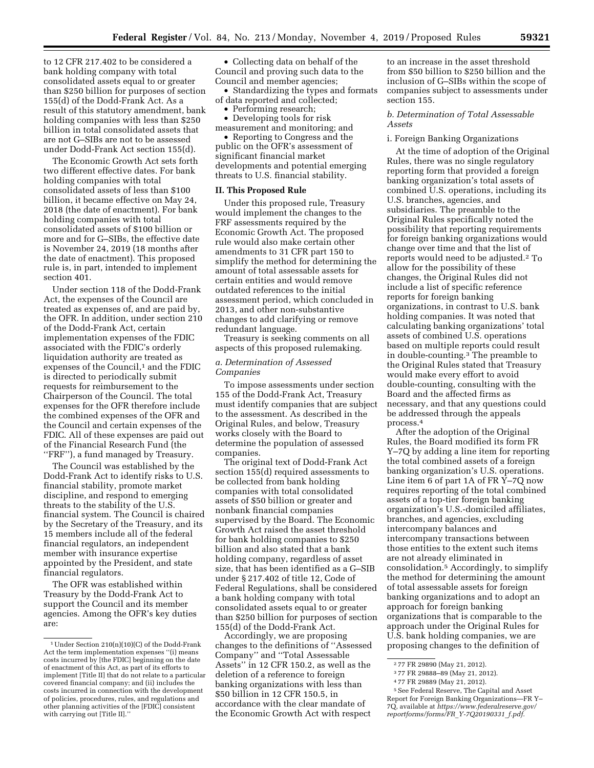to 12 CFR 217.402 to be considered a bank holding company with total consolidated assets equal to or greater than \$250 billion for purposes of section 155(d) of the Dodd-Frank Act. As a result of this statutory amendment, bank holding companies with less than \$250 billion in total consolidated assets that are not G–SIBs are not to be assessed under Dodd-Frank Act section 155(d).

The Economic Growth Act sets forth two different effective dates. For bank holding companies with total consolidated assets of less than \$100 billion, it became effective on May 24, 2018 (the date of enactment). For bank holding companies with total consolidated assets of \$100 billion or more and for G–SIBs, the effective date is November 24, 2019 (18 months after the date of enactment). This proposed rule is, in part, intended to implement section 401.

Under section 118 of the Dodd-Frank Act, the expenses of the Council are treated as expenses of, and are paid by, the OFR. In addition, under section 210 of the Dodd-Frank Act, certain implementation expenses of the FDIC associated with the FDIC's orderly liquidation authority are treated as expenses of the Council,<sup>1</sup> and the FDIC is directed to periodically submit requests for reimbursement to the Chairperson of the Council. The total expenses for the OFR therefore include the combined expenses of the OFR and the Council and certain expenses of the FDIC. All of these expenses are paid out of the Financial Research Fund (the ''FRF''), a fund managed by Treasury.

The Council was established by the Dodd-Frank Act to identify risks to U.S. financial stability, promote market discipline, and respond to emerging threats to the stability of the U.S. financial system. The Council is chaired by the Secretary of the Treasury, and its 15 members include all of the federal financial regulators, an independent member with insurance expertise appointed by the President, and state financial regulators.

The OFR was established within Treasury by the Dodd-Frank Act to support the Council and its member agencies. Among the OFR's key duties are:

• Collecting data on behalf of the Council and proving such data to the Council and member agencies;

• Standardizing the types and formats of data reported and collected;

• Performing research;

• Developing tools for risk measurement and monitoring; and

• Reporting to Congress and the public on the OFR's assessment of significant financial market developments and potential emerging threats to U.S. financial stability.

#### **II. This Proposed Rule**

Under this proposed rule, Treasury would implement the changes to the FRF assessments required by the Economic Growth Act. The proposed rule would also make certain other amendments to 31 CFR part 150 to simplify the method for determining the amount of total assessable assets for certain entities and would remove outdated references to the initial assessment period, which concluded in 2013, and other non-substantive changes to add clarifying or remove redundant language.

Treasury is seeking comments on all aspects of this proposed rulemaking.

# *a. Determination of Assessed Companies*

To impose assessments under section 155 of the Dodd-Frank Act, Treasury must identify companies that are subject to the assessment. As described in the Original Rules, and below, Treasury works closely with the Board to determine the population of assessed companies.

The original text of Dodd-Frank Act section 155(d) required assessments to be collected from bank holding companies with total consolidated assets of \$50 billion or greater and nonbank financial companies supervised by the Board. The Economic Growth Act raised the asset threshold for bank holding companies to \$250 billion and also stated that a bank holding company, regardless of asset size, that has been identified as a G–SIB under § 217.402 of title 12, Code of Federal Regulations, shall be considered a bank holding company with total consolidated assets equal to or greater than \$250 billion for purposes of section 155(d) of the Dodd-Frank Act.

Accordingly, we are proposing changes to the definitions of ''Assessed Company'' and ''Total Assessable Assets'' in 12 CFR 150.2, as well as the deletion of a reference to foreign banking organizations with less than \$50 billion in 12 CFR 150.5, in accordance with the clear mandate of the Economic Growth Act with respect

to an increase in the asset threshold from \$50 billion to \$250 billion and the inclusion of G–SIBs within the scope of companies subject to assessments under section 155.

# *b. Determination of Total Assessable Assets*

# i. Foreign Banking Organizations

At the time of adoption of the Original Rules, there was no single regulatory reporting form that provided a foreign banking organization's total assets of combined U.S. operations, including its U.S. branches, agencies, and subsidiaries. The preamble to the Original Rules specifically noted the possibility that reporting requirements for foreign banking organizations would change over time and that the list of reports would need to be adjusted.2 To allow for the possibility of these changes, the Original Rules did not include a list of specific reference reports for foreign banking organizations, in contrast to U.S. bank holding companies. It was noted that calculating banking organizations' total assets of combined U.S. operations based on multiple reports could result in double-counting.3 The preamble to the Original Rules stated that Treasury would make every effort to avoid double-counting, consulting with the Board and the affected firms as necessary, and that any questions could be addressed through the appeals process.4

After the adoption of the Original Rules, the Board modified its form FR Y–7Q by adding a line item for reporting the total combined assets of a foreign banking organization's U.S. operations. Line item 6 of part 1A of FR Y–7Q now requires reporting of the total combined assets of a top-tier foreign banking organization's U.S.-domiciled affiliates, branches, and agencies, excluding intercompany balances and intercompany transactions between those entities to the extent such items are not already eliminated in consolidation.5 Accordingly, to simplify the method for determining the amount of total assessable assets for foreign banking organizations and to adopt an approach for foreign banking organizations that is comparable to the approach under the Original Rules for U.S. bank holding companies, we are proposing changes to the definition of

<sup>1</sup>Under Section 210(n)(10)(C) of the Dodd-Frank Act the term implementation expenses ''(i) means costs incurred by [the FDIC] beginning on the date of enactment of this Act, as part of its efforts to implement [Title II] that do not relate to a particular covered financial company; and (ii) includes the costs incurred in connection with the development of policies, procedures, rules, and regulations and other planning activities of the [FDIC] consistent with carrying out [Title II].''

<sup>2</sup> 77 FR 29890 (May 21, 2012).

<sup>3</sup> 77 FR 29888–89 (May 21, 2012).

<sup>4</sup> 77 FR 29889 (May 21, 2012).

<sup>5</sup>See Federal Reserve, The Capital and Asset Report for Foreign Banking Organizations—FR Y– 7Q, available at *[https://www.federalreserve.gov/](https://www.federalreserve.gov/reportforms/forms/FR_Y-7Q20190331_f.pdf) [reportforms/forms/FR](https://www.federalreserve.gov/reportforms/forms/FR_Y-7Q20190331_f.pdf)*\_*Y-7Q20190331*\_*f.pdf.*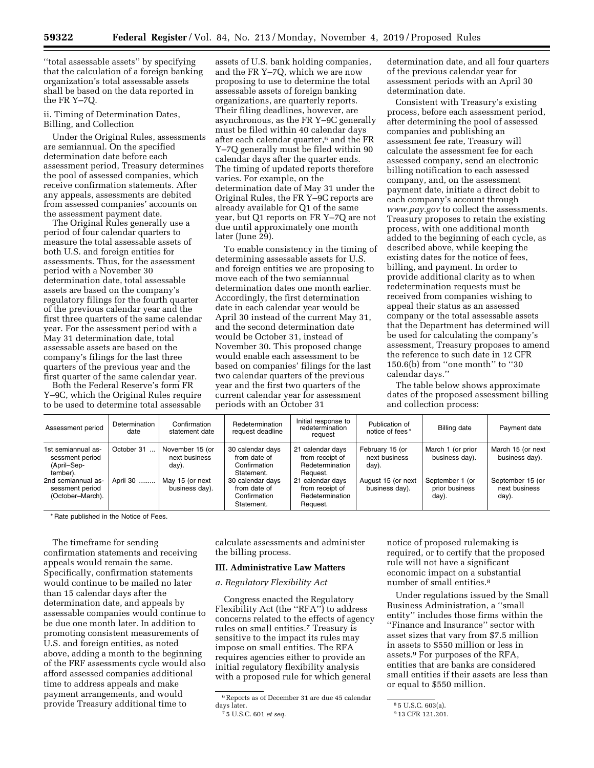''total assessable assets'' by specifying that the calculation of a foreign banking organization's total assessable assets shall be based on the data reported in the FR Y–7Q.

ii. Timing of Determination Dates, Billing, and Collection

Under the Original Rules, assessments are semiannual. On the specified determination date before each assessment period, Treasury determines the pool of assessed companies, which receive confirmation statements. After any appeals, assessments are debited from assessed companies' accounts on the assessment payment date.

The Original Rules generally use a period of four calendar quarters to measure the total assessable assets of both U.S. and foreign entities for assessments. Thus, for the assessment period with a November 30 determination date, total assessable assets are based on the company's regulatory filings for the fourth quarter of the previous calendar year and the first three quarters of the same calendar year. For the assessment period with a May 31 determination date, total assessable assets are based on the company's filings for the last three quarters of the previous year and the first quarter of the same calendar year.

Both the Federal Reserve's form FR Y–9C, which the Original Rules require to be used to determine total assessable

assets of U.S. bank holding companies, and the FR Y–7Q, which we are now proposing to use to determine the total assessable assets of foreign banking organizations, are quarterly reports. Their filing deadlines, however, are asynchronous, as the FR Y–9C generally must be filed within 40 calendar days after each calendar quarter,6 and the FR Y–7Q generally must be filed within 90 calendar days after the quarter ends. The timing of updated reports therefore varies. For example, on the determination date of May 31 under the Original Rules, the FR Y–9C reports are already available for Q1 of the same year, but Q1 reports on FR Y–7Q are not due until approximately one month later (June 29).

To enable consistency in the timing of determining assessable assets for U.S. and foreign entities we are proposing to move each of the two semiannual determination dates one month earlier. Accordingly, the first determination date in each calendar year would be April 30 instead of the current May 31, and the second determination date would be October 31, instead of November 30. This proposed change would enable each assessment to be based on companies' filings for the last two calendar quarters of the previous year and the first two quarters of the current calendar year for assessment periods with an October 31

determination date, and all four quarters of the previous calendar year for assessment periods with an April 30 determination date.

Consistent with Treasury's existing process, before each assessment period, after determining the pool of assessed companies and publishing an assessment fee rate, Treasury will calculate the assessment fee for each assessed company, send an electronic billing notification to each assessed company, and, on the assessment payment date, initiate a direct debit to each company's account through *[www.pay.gov](http://www.pay.gov)* to collect the assessments. Treasury proposes to retain the existing process, with one additional month added to the beginning of each cycle, as described above, while keeping the existing dates for the notice of fees, billing, and payment. In order to provide additional clarity as to when redetermination requests must be received from companies wishing to appeal their status as an assessed company or the total assessable assets that the Department has determined will be used for calculating the company's assessment, Treasury proposes to amend the reference to such date in 12 CFR 150.6(b) from ''one month'' to ''30 calendar days.''

The table below shows approximate dates of the proposed assessment billing and collection process:

| Assessment period                                                | Determination<br>date | Confirmation<br>statement date            | Redetermination<br>request deadline                            | Initial response to<br>redetermination<br>request                  | Publication of<br>notice of fees*         | Billing date                               | Payment date                               |
|------------------------------------------------------------------|-----------------------|-------------------------------------------|----------------------------------------------------------------|--------------------------------------------------------------------|-------------------------------------------|--------------------------------------------|--------------------------------------------|
| 1st semiannual as-<br>sessment period<br>(April-Sep-<br>tember). | October 31            | November 15 (or<br>next business<br>day). | 30 calendar days<br>from date of<br>Confirmation<br>Statement. | 21 calendar days<br>from receipt of<br>Redetermination<br>Request. | February 15 (or<br>next business<br>day). | March 1 (or prior<br>business day).        | March 15 (or next<br>business day).        |
| 2nd semiannual as-<br>sessment period<br>(October-March).        | April 30              | May 15 (or next<br>business day).         | 30 calendar days<br>from date of<br>Confirmation<br>Statement. | 21 calendar days<br>from receipt of<br>Redetermination<br>Request. | August 15 (or next<br>business day).      | September 1 (or<br>prior business<br>day). | September 15 (or<br>next business<br>day). |

\* Rate published in the Notice of Fees.

The timeframe for sending confirmation statements and receiving appeals would remain the same. Specifically, confirmation statements would continue to be mailed no later than 15 calendar days after the determination date, and appeals by assessable companies would continue to be due one month later. In addition to promoting consistent measurements of U.S. and foreign entities, as noted above, adding a month to the beginning of the FRF assessments cycle would also afford assessed companies additional time to address appeals and make payment arrangements, and would provide Treasury additional time to

calculate assessments and administer the billing process.

### **III. Administrative Law Matters**

### *a. Regulatory Flexibility Act*

Congress enacted the Regulatory Flexibility Act (the "RFA") to address concerns related to the effects of agency rules on small entities.7 Treasury is sensitive to the impact its rules may impose on small entities. The RFA requires agencies either to provide an initial regulatory flexibility analysis with a proposed rule for which general

notice of proposed rulemaking is required, or to certify that the proposed rule will not have a significant economic impact on a substantial number of small entities.<sup>8</sup>

Under regulations issued by the Small Business Administration, a ''small entity'' includes those firms within the ''Finance and Insurance'' sector with asset sizes that vary from \$7.5 million in assets to \$550 million or less in assets.9 For purposes of the RFA, entities that are banks are considered small entities if their assets are less than or equal to \$550 million.

 $^{\rm 6}$  Reports as of December 31 are due 45 calendar days later.

<sup>7</sup> 5 U.S.C. 601 *et seq.* 

<sup>8</sup> 5 U.S.C. 603(a).

<sup>9</sup> 13 CFR 121.201.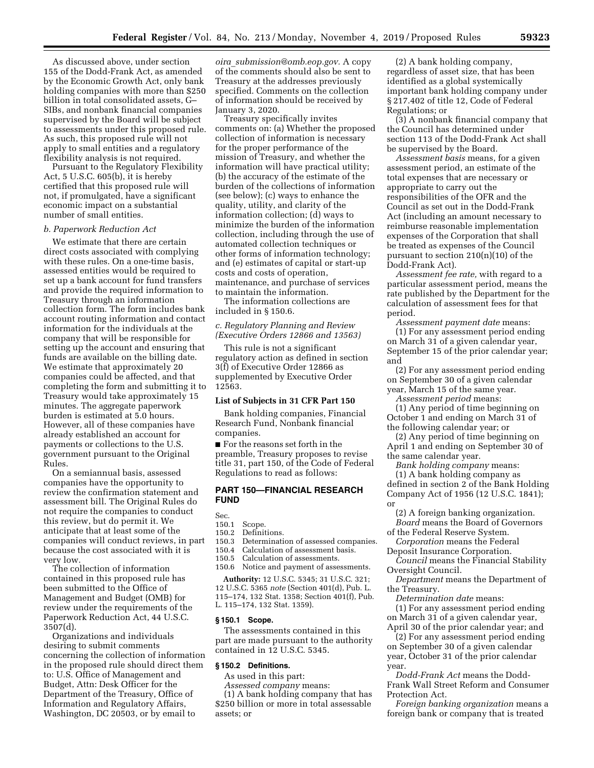As discussed above, under section 155 of the Dodd-Frank Act, as amended by the Economic Growth Act, only bank holding companies with more than \$250 billion in total consolidated assets, G– SIBs, and nonbank financial companies supervised by the Board will be subject to assessments under this proposed rule. As such, this proposed rule will not apply to small entities and a regulatory flexibility analysis is not required.

Pursuant to the Regulatory Flexibility Act, 5 U.S.C. 605(b), it is hereby certified that this proposed rule will not, if promulgated, have a significant economic impact on a substantial number of small entities.

### *b. Paperwork Reduction Act*

We estimate that there are certain direct costs associated with complying with these rules. On a one-time basis, assessed entities would be required to set up a bank account for fund transfers and provide the required information to Treasury through an information collection form. The form includes bank account routing information and contact information for the individuals at the company that will be responsible for setting up the account and ensuring that funds are available on the billing date. We estimate that approximately 20 companies could be affected, and that completing the form and submitting it to Treasury would take approximately 15 minutes. The aggregate paperwork burden is estimated at 5.0 hours. However, all of these companies have already established an account for payments or collections to the U.S. government pursuant to the Original Rules.

On a semiannual basis, assessed companies have the opportunity to review the confirmation statement and assessment bill. The Original Rules do not require the companies to conduct this review, but do permit it. We anticipate that at least some of the companies will conduct reviews, in part because the cost associated with it is very low.

The collection of information contained in this proposed rule has been submitted to the Office of Management and Budget (OMB) for review under the requirements of the Paperwork Reduction Act, 44 U.S.C. 3507(d).

Organizations and individuals desiring to submit comments concerning the collection of information in the proposed rule should direct them to: U.S. Office of Management and Budget, Attn: Desk Officer for the Department of the Treasury, Office of Information and Regulatory Affairs, Washington, DC 20503, or by email to

*oira*\_*[submission@omb.eop.gov.](mailto:oira_submission@omb.eop.gov)* A copy of the comments should also be sent to Treasury at the addresses previously specified. Comments on the collection of information should be received by January 3, 2020.

Treasury specifically invites comments on: (a) Whether the proposed collection of information is necessary for the proper performance of the mission of Treasury, and whether the information will have practical utility; (b) the accuracy of the estimate of the burden of the collections of information (see below); (c) ways to enhance the quality, utility, and clarity of the information collection; (d) ways to minimize the burden of the information collection, including through the use of automated collection techniques or other forms of information technology; and (e) estimates of capital or start-up costs and costs of operation, maintenance, and purchase of services to maintain the information.

The information collections are included in § 150.6.

*c. Regulatory Planning and Review (Executive Orders 12866 and 13563)* 

This rule is not a significant regulatory action as defined in section 3(f) of Executive Order 12866 as supplemented by Executive Order 12563.

#### **List of Subjects in 31 CFR Part 150**

Bank holding companies, Financial Research Fund, Nonbank financial companies.

■ For the reasons set forth in the preamble, Treasury proposes to revise title 31, part 150, of the Code of Federal Regulations to read as follows:

# **PART 150—FINANCIAL RESEARCH FUND**

#### Sec.

- 150.1 Scope.<br>150.2 Definit
- Definitions.
- 150.3 Determination of assessed companies.
- 150.4 Calculation of assessment basis.<br>150.5 Calculation of assessments. Calculation of assessments.
- 150.6 Notice and payment of assessments.

**Authority:** 12 U.S.C. 5345; 31 U.S.C. 321; 12 U.S.C. 5365 *note* (Section 401(d), Pub. L. 115–174, 132 Stat. 1358; Section 401(f), Pub. L. 115–174, 132 Stat. 1359).

#### **§ 150.1 Scope.**

The assessments contained in this part are made pursuant to the authority contained in 12 U.S.C. 5345.

### **§ 150.2 Definitions.**

As used in this part:

*Assessed company* means: (1) A bank holding company that has \$250 billion or more in total assessable assets; or

(2) A bank holding company, regardless of asset size, that has been identified as a global systemically important bank holding company under § 217.402 of title 12, Code of Federal Regulations; or

(3) A nonbank financial company that the Council has determined under section 113 of the Dodd-Frank Act shall be supervised by the Board.

*Assessment basis* means, for a given assessment period, an estimate of the total expenses that are necessary or appropriate to carry out the responsibilities of the OFR and the Council as set out in the Dodd-Frank Act (including an amount necessary to reimburse reasonable implementation expenses of the Corporation that shall be treated as expenses of the Council pursuant to section 210(n)(10) of the Dodd-Frank Act).

*Assessment fee rate,* with regard to a particular assessment period, means the rate published by the Department for the calculation of assessment fees for that period.

*Assessment payment date* means: (1) For any assessment period ending on March 31 of a given calendar year, September 15 of the prior calendar year; and

(2) For any assessment period ending on September 30 of a given calendar year, March 15 of the same year.

*Assessment period* means:

(1) Any period of time beginning on October 1 and ending on March 31 of the following calendar year; or

(2) Any period of time beginning on April 1 and ending on September 30 of the same calendar year.

*Bank holding company* means: (1) A bank holding company as defined in section 2 of the Bank Holding Company Act of 1956 (12 U.S.C. 1841); or

(2) A foreign banking organization. *Board* means the Board of Governors

of the Federal Reserve System. *Corporation* means the Federal

Deposit Insurance Corporation. *Council* means the Financial Stability

Oversight Council.

*Department* means the Department of the Treasury.

*Determination date* means:

(1) For any assessment period ending on March 31 of a given calendar year,

April 30 of the prior calendar year; and (2) For any assessment period ending on September 30 of a given calendar year, October 31 of the prior calendar year.

*Dodd-Frank Act* means the Dodd-Frank Wall Street Reform and Consumer Protection Act.

*Foreign banking organization* means a foreign bank or company that is treated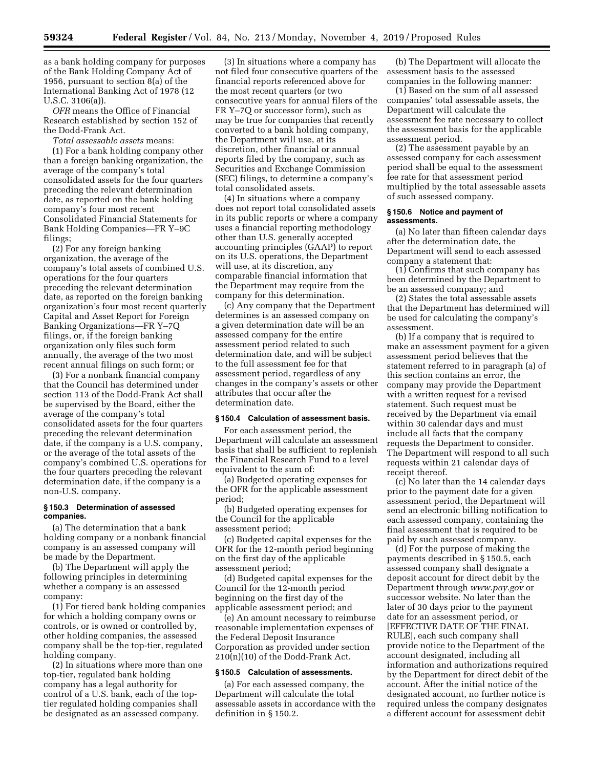as a bank holding company for purposes of the Bank Holding Company Act of 1956, pursuant to section 8(a) of the International Banking Act of 1978 (12 U.S.C. 3106(a)).

*OFR* means the Office of Financial Research established by section 152 of the Dodd-Frank Act.

*Total assessable assets* means:

(1) For a bank holding company other than a foreign banking organization, the average of the company's total consolidated assets for the four quarters preceding the relevant determination date, as reported on the bank holding company's four most recent Consolidated Financial Statements for Bank Holding Companies—FR Y–9C filings;

(2) For any foreign banking organization, the average of the company's total assets of combined U.S. operations for the four quarters preceding the relevant determination date, as reported on the foreign banking organization's four most recent quarterly Capital and Asset Report for Foreign Banking Organizations—FR Y–7Q filings, or, if the foreign banking organization only files such form annually, the average of the two most recent annual filings on such form; or

(3) For a nonbank financial company that the Council has determined under section 113 of the Dodd-Frank Act shall be supervised by the Board, either the average of the company's total consolidated assets for the four quarters preceding the relevant determination date, if the company is a U.S. company, or the average of the total assets of the company's combined U.S. operations for the four quarters preceding the relevant determination date, if the company is a non-U.S. company.

### **§ 150.3 Determination of assessed companies.**

(a) The determination that a bank holding company or a nonbank financial company is an assessed company will be made by the Department.

(b) The Department will apply the following principles in determining whether a company is an assessed company:

(1) For tiered bank holding companies for which a holding company owns or controls, or is owned or controlled by, other holding companies, the assessed company shall be the top-tier, regulated holding company.

(2) In situations where more than one top-tier, regulated bank holding company has a legal authority for control of a U.S. bank, each of the toptier regulated holding companies shall be designated as an assessed company.

(3) In situations where a company has not filed four consecutive quarters of the financial reports referenced above for the most recent quarters (or two consecutive years for annual filers of the FR Y–7Q or successor form), such as may be true for companies that recently converted to a bank holding company, the Department will use, at its discretion, other financial or annual reports filed by the company, such as Securities and Exchange Commission (SEC) filings, to determine a company's total consolidated assets.

(4) In situations where a company does not report total consolidated assets in its public reports or where a company uses a financial reporting methodology other than U.S. generally accepted accounting principles (GAAP) to report on its U.S. operations, the Department will use, at its discretion, any comparable financial information that the Department may require from the company for this determination.

(c) Any company that the Department determines is an assessed company on a given determination date will be an assessed company for the entire assessment period related to such determination date, and will be subject to the full assessment fee for that assessment period, regardless of any changes in the company's assets or other attributes that occur after the determination date.

# **§ 150.4 Calculation of assessment basis.**

For each assessment period, the Department will calculate an assessment basis that shall be sufficient to replenish the Financial Research Fund to a level equivalent to the sum of:

(a) Budgeted operating expenses for the OFR for the applicable assessment period;

(b) Budgeted operating expenses for the Council for the applicable assessment period;

(c) Budgeted capital expenses for the OFR for the 12-month period beginning on the first day of the applicable assessment period;

(d) Budgeted capital expenses for the Council for the 12-month period beginning on the first day of the applicable assessment period; and

(e) An amount necessary to reimburse reasonable implementation expenses of the Federal Deposit Insurance Corporation as provided under section 210(n)(10) of the Dodd-Frank Act.

### **§ 150.5 Calculation of assessments.**

(a) For each assessed company, the Department will calculate the total assessable assets in accordance with the definition in § 150.2.

(b) The Department will allocate the assessment basis to the assessed companies in the following manner:

(1) Based on the sum of all assessed companies' total assessable assets, the Department will calculate the assessment fee rate necessary to collect the assessment basis for the applicable assessment period.

(2) The assessment payable by an assessed company for each assessment period shall be equal to the assessment fee rate for that assessment period multiplied by the total assessable assets of such assessed company.

#### **§ 150.6 Notice and payment of assessments.**

(a) No later than fifteen calendar days after the determination date, the Department will send to each assessed company a statement that:

(1) Confirms that such company has been determined by the Department to be an assessed company; and

(2) States the total assessable assets that the Department has determined will be used for calculating the company's assessment.

(b) If a company that is required to make an assessment payment for a given assessment period believes that the statement referred to in paragraph (a) of this section contains an error, the company may provide the Department with a written request for a revised statement. Such request must be received by the Department via email within 30 calendar days and must include all facts that the company requests the Department to consider. The Department will respond to all such requests within 21 calendar days of receipt thereof.

(c) No later than the 14 calendar days prior to the payment date for a given assessment period, the Department will send an electronic billing notification to each assessed company, containing the final assessment that is required to be paid by such assessed company.

(d) For the purpose of making the payments described in § 150.5, each assessed company shall designate a deposit account for direct debit by the Department through *[www.pay.gov](http://www.pay.gov)* or successor website. No later than the later of 30 days prior to the payment date for an assessment period, or [EFFECTIVE DATE OF THE FINAL RULE], each such company shall provide notice to the Department of the account designated, including all information and authorizations required by the Department for direct debit of the account. After the initial notice of the designated account, no further notice is required unless the company designates a different account for assessment debit